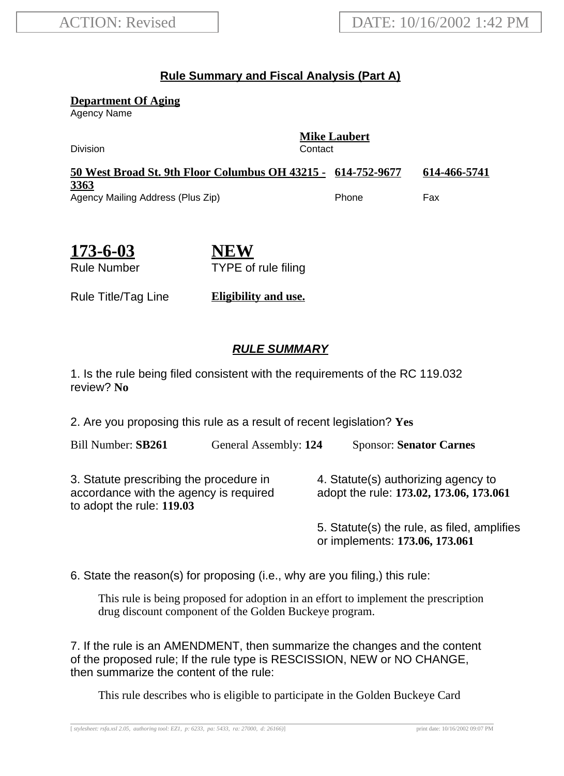## **Rule Summary and Fiscal Analysis (Part A)**

**Department Of Aging**

Agency Name

**Mike Laubert** Division Contact **50 West Broad St. 9th Floor Columbus OH 43215 - 614-752-9677 614-466-5741 3363** Agency Mailing Address (Plus Zip) entitled and the Phone Fax

**173-6-03** Rule Number

**NEW** TYPE of rule filing

Rule Title/Tag Line **Eligibility and use.**

## **RULE SUMMARY**

1. Is the rule being filed consistent with the requirements of the RC 119.032 review? **No**

2. Are you proposing this rule as a result of recent legislation? **Yes**

Bill Number: **SB261** General Assembly: **124** Sponsor: **Senator Carnes**

3. Statute prescribing the procedure in accordance with the agency is required to adopt the rule: **119.03**

4. Statute(s) authorizing agency to adopt the rule: **173.02, 173.06, 173.061**

5. Statute(s) the rule, as filed, amplifies or implements: **173.06, 173.061**

6. State the reason(s) for proposing (i.e., why are you filing,) this rule:

This rule is being proposed for adoption in an effort to implement the prescription drug discount component of the Golden Buckeye program.

7. If the rule is an AMENDMENT, then summarize the changes and the content of the proposed rule; If the rule type is RESCISSION, NEW or NO CHANGE, then summarize the content of the rule:

This rule describes who is eligible to participate in the Golden Buckeye Card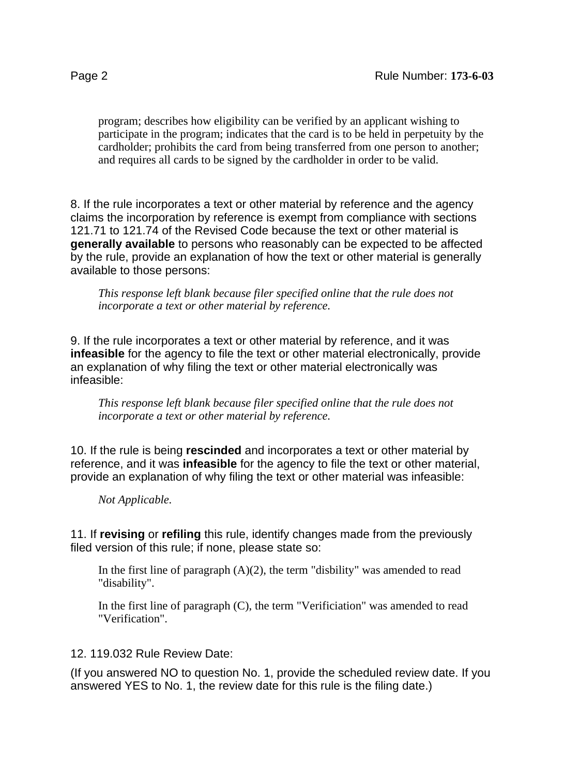program; describes how eligibility can be verified by an applicant wishing to participate in the program; indicates that the card is to be held in perpetuity by the cardholder; prohibits the card from being transferred from one person to another; and requires all cards to be signed by the cardholder in order to be valid.

8. If the rule incorporates a text or other material by reference and the agency claims the incorporation by reference is exempt from compliance with sections 121.71 to 121.74 of the Revised Code because the text or other material is **generally available** to persons who reasonably can be expected to be affected by the rule, provide an explanation of how the text or other material is generally available to those persons:

*This response left blank because filer specified online that the rule does not incorporate a text or other material by reference.*

9. If the rule incorporates a text or other material by reference, and it was **infeasible** for the agency to file the text or other material electronically, provide an explanation of why filing the text or other material electronically was infeasible:

*This response left blank because filer specified online that the rule does not incorporate a text or other material by reference.*

10. If the rule is being **rescinded** and incorporates a text or other material by reference, and it was **infeasible** for the agency to file the text or other material, provide an explanation of why filing the text or other material was infeasible:

*Not Applicable.*

11. If **revising** or **refiling** this rule, identify changes made from the previously filed version of this rule; if none, please state so:

In the first line of paragraph  $(A)(2)$ , the term "disbility" was amended to read "disability".

In the first line of paragraph (C), the term "Verificiation" was amended to read "Verification".

## 12. 119.032 Rule Review Date:

(If you answered NO to question No. 1, provide the scheduled review date. If you answered YES to No. 1, the review date for this rule is the filing date.)